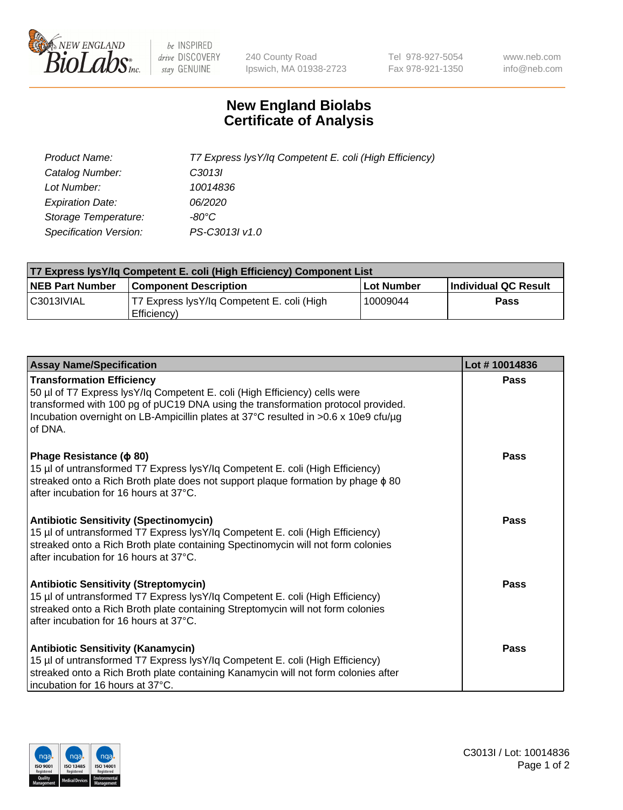

 $be$  INSPIRED drive DISCOVERY stay GENUINE

240 County Road Ipswich, MA 01938-2723 Tel 978-927-5054 Fax 978-921-1350 www.neb.com info@neb.com

## **New England Biolabs Certificate of Analysis**

| Product Name:           | T7 Express lysY/lq Competent E. coli (High Efficiency) |
|-------------------------|--------------------------------------------------------|
| Catalog Number:         | C <sub>3013</sub>                                      |
| Lot Number:             | 10014836                                               |
| <b>Expiration Date:</b> | 06/2020                                                |
| Storage Temperature:    | -80°C                                                  |
| Specification Version:  | PS-C3013I v1.0                                         |

| T7 Express lysY/lq Competent E. coli (High Efficiency) Component List |                                                           |            |                      |  |
|-----------------------------------------------------------------------|-----------------------------------------------------------|------------|----------------------|--|
| <b>NEB Part Number</b>                                                | <b>Component Description</b>                              | Lot Number | Individual QC Result |  |
| C3013IVIAL                                                            | T7 Express lysY/lg Competent E. coli (High<br>Efficiency) | 10009044   | Pass                 |  |

| <b>Assay Name/Specification</b>                                                                                                                                                                                                                                                                      | Lot #10014836 |
|------------------------------------------------------------------------------------------------------------------------------------------------------------------------------------------------------------------------------------------------------------------------------------------------------|---------------|
| <b>Transformation Efficiency</b><br>50 µl of T7 Express lysY/lq Competent E. coli (High Efficiency) cells were<br>transformed with 100 pg of pUC19 DNA using the transformation protocol provided.<br>Incubation overnight on LB-Ampicillin plates at 37°C resulted in >0.6 x 10e9 cfu/µg<br>of DNA. | Pass          |
| Phage Resistance ( $\phi$ 80)<br>15 µl of untransformed T7 Express lysY/lq Competent E. coli (High Efficiency)<br>streaked onto a Rich Broth plate does not support plaque formation by phage $\phi$ 80<br>after incubation for 16 hours at 37°C.                                                    | Pass          |
| <b>Antibiotic Sensitivity (Spectinomycin)</b><br>15 µl of untransformed T7 Express lysY/lq Competent E. coli (High Efficiency)<br>streaked onto a Rich Broth plate containing Spectinomycin will not form colonies<br>after incubation for 16 hours at 37°C.                                         | Pass          |
| <b>Antibiotic Sensitivity (Streptomycin)</b><br>15 µl of untransformed T7 Express lysY/lq Competent E. coli (High Efficiency)<br>streaked onto a Rich Broth plate containing Streptomycin will not form colonies<br>after incubation for 16 hours at 37°C.                                           | Pass          |
| <b>Antibiotic Sensitivity (Kanamycin)</b><br>15 µl of untransformed T7 Express lysY/lq Competent E. coli (High Efficiency)<br>streaked onto a Rich Broth plate containing Kanamycin will not form colonies after<br>incubation for 16 hours at 37°C.                                                 | Pass          |